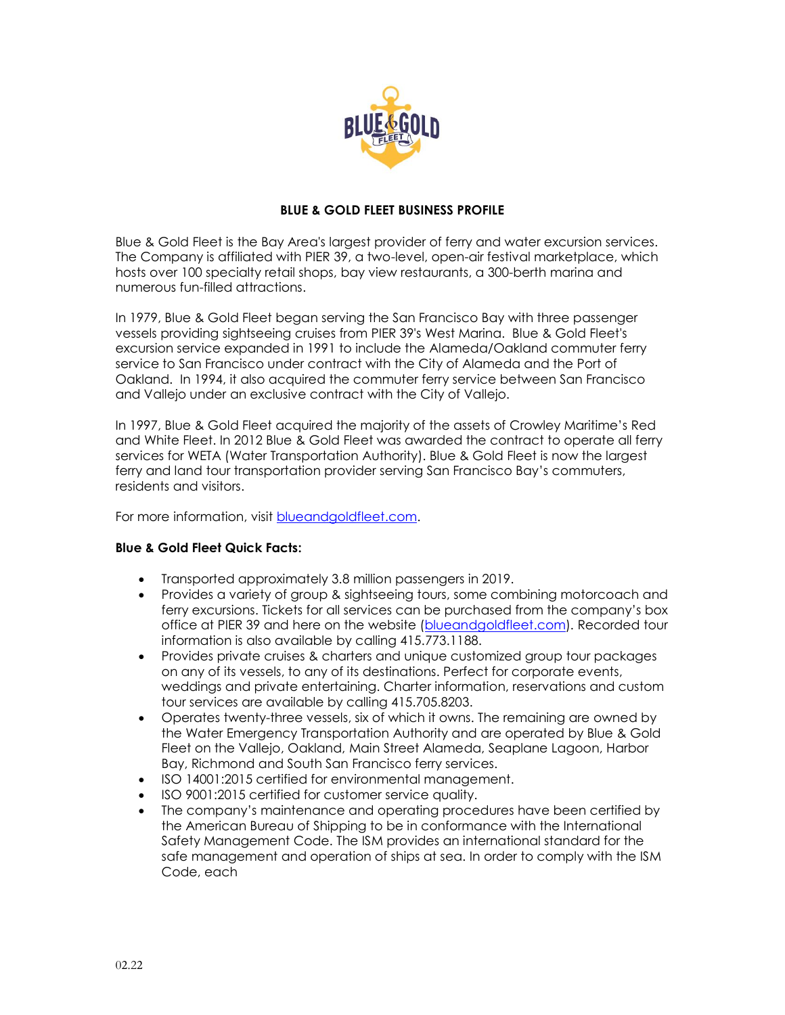

## **BLUE & GOLD FLEET BUSINESS PROFILE**

Blue & Gold Fleet is the Bay Area's largest provider of ferry and water excursion services. The Company is affiliated with PIER 39, a two-level, open-air festival marketplace, which hosts over 100 specialty retail shops, bay view restaurants, a 300-berth marina and numerous fun-filled attractions.

In 1979, Blue & Gold Fleet began serving the San Francisco Bay with three passenger vessels providing sightseeing cruises from PIER 39's West Marina. Blue & Gold Fleet's excursion service expanded in 1991 to include the Alameda/Oakland commuter ferry service to San Francisco under contract with the City of Alameda and the Port of Oakland. In 1994, it also acquired the commuter ferry service between San Francisco and Vallejo under an exclusive contract with the City of Vallejo.

In 1997, Blue & Gold Fleet acquired the majority of the assets of Crowley Maritime's Red and White Fleet. In 2012 Blue & Gold Fleet was awarded the contract to operate all ferry services for WETA (Water Transportation Authority). Blue & Gold Fleet is now the largest ferry and land tour transportation provider serving San Francisco Bay's commuters, residents and visitors.

For more information, visit [blueandgoldfleet.com.](https://www.blueandgoldfleet.com/)

## **Blue & Gold Fleet Quick Facts:**

- Transported approximately 3.8 million passengers in 2019.
- Provides a variety of group & sightseeing tours, some combining motorcoach and ferry excursions. Tickets for all services can be purchased from the company's box office at PIER 39 and here on the website [\(blueandgoldfleet.com\)](https://www.blueandgoldfleet.com/). Recorded tour information is also available by calling 415.773.1188.
- Provides [private cruises](http://www.blueandgoldfleet.com/private-events-cruises/) & charters and unique customized [group tour packages](http://www.blueandgoldfleet.com/groups-schools/) on any of its vessels, to any of its destinations. Perfect for corporate events, weddings and private entertaining. Charter information, reservations and custom tour services are available by calling 415.705.8203.
- Operates twenty-three vessels, six of which it owns. The remaining are owned by the Water Emergency Transportation Authority and are operated by Blue & Gold Fleet on the Vallejo, Oakland, Main Street Alameda, Seaplane Lagoon, Harbor Bay, Richmond and South San Francisco ferry services.
- ISO 14001:2015 certified for environmental management.
- ISO 9001:2015 certified for customer service quality.
- The company's maintenance and operating procedures have been certified by the American Bureau of Shipping to be in conformance with the International Safety Management Code. The ISM provides an international standard for the safe management and operation of ships at sea. In order to comply with the ISM Code, each